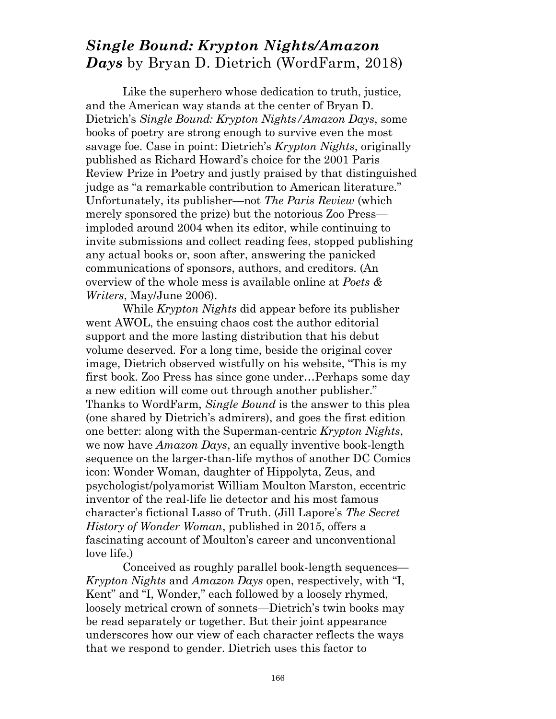## *Single Bound: Krypton Nights/Amazon Days* by Bryan D. Dietrich (WordFarm, 2018)

 Like the superhero whose dedication to truth, justice, and the American way stands at the center of Bryan D. Dietrich's *Single Bound: Krypton Nights/Amazon Days*, some books of poetry are strong enough to survive even the most savage foe. Case in point: Dietrich's *Krypton Nights*, originally published as Richard Howard's choice for the 2001 Paris Review Prize in Poetry and justly praised by that distinguished judge as "a remarkable contribution to American literature." Unfortunately, its publisher—not *The Paris Review* (which merely sponsored the prize) but the notorious Zoo Press imploded around 2004 when its editor, while continuing to invite submissions and collect reading fees, stopped publishing any actual books or, soon after, answering the panicked communications of sponsors, authors, and creditors. (An overview of the whole mess is available online at *Poets & Writers*, May/June 2006).

 While *Krypton Nights* did appear before its publisher went AWOL, the ensuing chaos cost the author editorial support and the more lasting distribution that his debut volume deserved. For a long time, beside the original cover image, Dietrich observed wistfully on his website, "This is my first book. Zoo Press has since gone under…Perhaps some day a new edition will come out through another publisher." Thanks to WordFarm, *Single Bound* is the answer to this plea (one shared by Dietrich's admirers), and goes the first edition one better: along with the Superman-centric *Krypton Nights*, we now have *Amazon Days*, an equally inventive book-length sequence on the larger-than-life mythos of another DC Comics icon: Wonder Woman, daughter of Hippolyta, Zeus, and psychologist/polyamorist William Moulton Marston, eccentric inventor of the real-life lie detector and his most famous character's fictional Lasso of Truth. (Jill Lapore's *The Secret History of Wonder Woman*, published in 2015, offers a fascinating account of Moulton's career and unconventional love life.)

 Conceived as roughly parallel book-length sequences— *Krypton Nights* and *Amazon Days* open, respectively, with "I, Kent" and "I, Wonder," each followed by a loosely rhymed, loosely metrical crown of sonnets—Dietrich's twin books may be read separately or together. But their joint appearance underscores how our view of each character reflects the ways that we respond to gender. Dietrich uses this factor to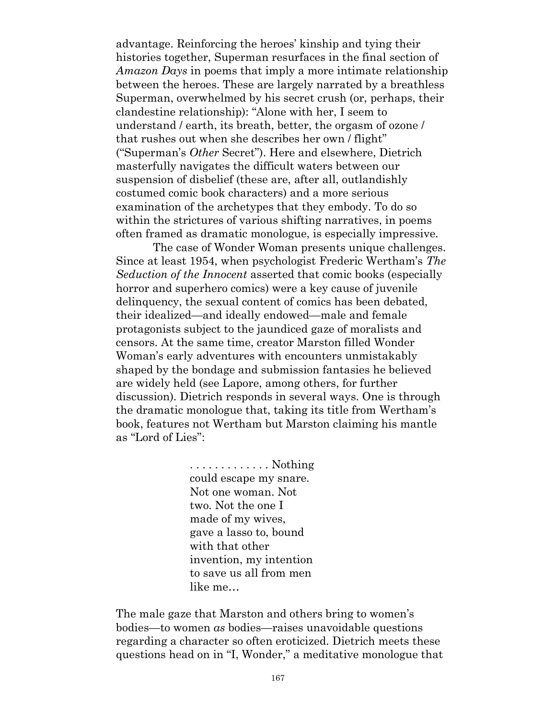advantage. Reinforcing the heroes' kinship and tying their histories together, Superman resurfaces in the final section of *Amazon Days* in poems that imply a more intimate relationship between the heroes. These are largely narrated by a breathless Superman, overwhelmed by his secret crush (or, perhaps, their clandestine relationship): "Alone with her, I seem to understand / earth, its breath, better, the orgasm of ozone / that rushes out when she describes her own / flight" ("Superman's *Other* Secret"). Here and elsewhere, Dietrich masterfully navigates the difficult waters between our suspension of disbelief (these are, after all, outlandishly costumed comic book characters) and a more serious examination of the archetypes that they embody. To do so within the strictures of various shifting narratives, in poems often framed as dramatic monologue, is especially impressive.

 The case of Wonder Woman presents unique challenges. Since at least 1954, when psychologist Frederic Wertham's *The Seduction of the Innocent* asserted that comic books (especially horror and superhero comics) were a key cause of juvenile delinquency, the sexual content of comics has been debated, their idealized—and ideally endowed—male and female protagonists subject to the jaundiced gaze of moralists and censors. At the same time, creator Marston filled Wonder Woman's early adventures with encounters unmistakably shaped by the bondage and submission fantasies he believed are widely held (see Lapore, among others, for further discussion). Dietrich responds in several ways. One is through the dramatic monologue that, taking its title from Wertham's book, features not Wertham but Marston claiming his mantle as "Lord of Lies":

> . . . . . . . . . . . . . Nothing could escape my snare. Not one woman. Not two. Not the one I made of my wives, gave a lasso to, bound with that other invention, my intention to save us all from men like me…

The male gaze that Marston and others bring to women's bodies—to women *as* bodies—raises unavoidable questions regarding a character so often eroticized. Dietrich meets these questions head on in "I, Wonder," a meditative monologue that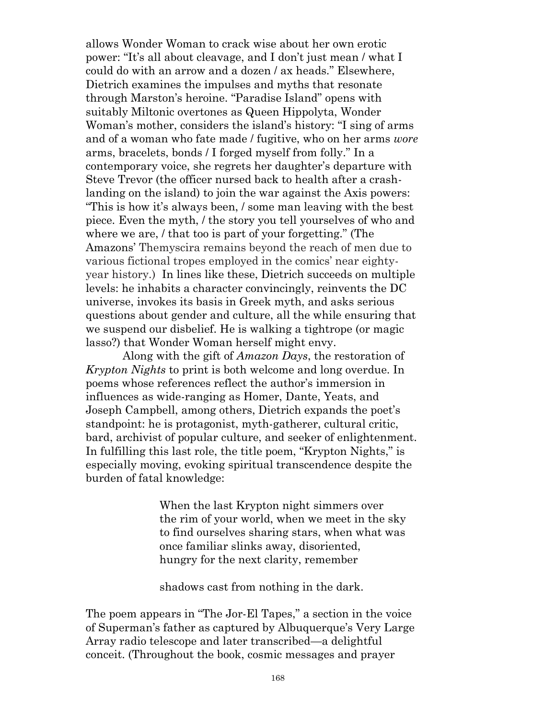allows Wonder Woman to crack wise about her own erotic power: "It's all about cleavage, and I don't just mean / what I could do with an arrow and a dozen / ax heads." Elsewhere, Dietrich examines the impulses and myths that resonate through Marston's heroine. "Paradise Island" opens with suitably Miltonic overtones as Queen Hippolyta, Wonder Woman's mother, considers the island's history: "I sing of arms and of a woman who fate made / fugitive, who on her arms *wore* arms, bracelets, bonds / I forged myself from folly." In a contemporary voice, she regrets her daughter's departure with Steve Trevor (the officer nursed back to health after a crashlanding on the island) to join the war against the Axis powers: "This is how it's always been, / some man leaving with the best piece. Even the myth, / the story you tell yourselves of who and where we are, *l* that too is part of your forgetting." (The Amazons' Themyscira remains beyond the reach of men due to various fictional tropes employed in the comics' near eightyyear history.) In lines like these, Dietrich succeeds on multiple levels: he inhabits a character convincingly, reinvents the DC universe, invokes its basis in Greek myth, and asks serious questions about gender and culture, all the while ensuring that we suspend our disbelief. He is walking a tightrope (or magic lasso?) that Wonder Woman herself might envy.

 Along with the gift of *Amazon Days*, the restoration of *Krypton Nights* to print is both welcome and long overdue. In poems whose references reflect the author's immersion in influences as wide-ranging as Homer, Dante, Yeats, and Joseph Campbell, among others, Dietrich expands the poet's standpoint: he is protagonist, myth-gatherer, cultural critic, bard, archivist of popular culture, and seeker of enlightenment. In fulfilling this last role, the title poem, "Krypton Nights," is especially moving, evoking spiritual transcendence despite the burden of fatal knowledge:

> When the last Krypton night simmers over the rim of your world, when we meet in the sky to find ourselves sharing stars, when what was once familiar slinks away, disoriented, hungry for the next clarity, remember

shadows cast from nothing in the dark.

The poem appears in "The Jor-El Tapes," a section in the voice of Superman's father as captured by Albuquerque's Very Large Array radio telescope and later transcribed—a delightful conceit. (Throughout the book, cosmic messages and prayer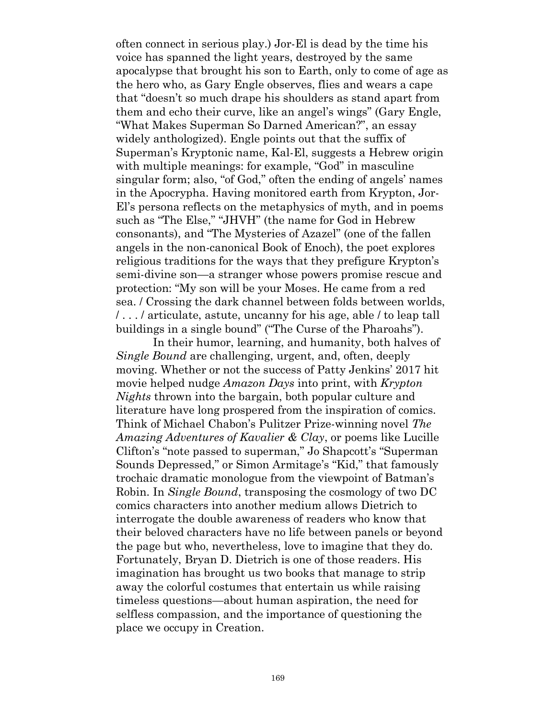often connect in serious play.) Jor-El is dead by the time his voice has spanned the light years, destroyed by the same apocalypse that brought his son to Earth, only to come of age as the hero who, as Gary Engle observes, flies and wears a cape that "doesn't so much drape his shoulders as stand apart from them and echo their curve, like an angel's wings" (Gary Engle, "What Makes Superman So Darned American?", an essay widely anthologized). Engle points out that the suffix of Superman's Kryptonic name, Kal-El, suggests a Hebrew origin with multiple meanings: for example, "God" in masculine singular form; also, "of God," often the ending of angels' names in the Apocrypha. Having monitored earth from Krypton, Jor-El's persona reflects on the metaphysics of myth, and in poems such as "The Else," "JHVH" (the name for God in Hebrew consonants), and "The Mysteries of Azazel" (one of the fallen angels in the non-canonical Book of Enoch), the poet explores religious traditions for the ways that they prefigure Krypton's semi-divine son—a stranger whose powers promise rescue and protection: "My son will be your Moses. He came from a red sea. / Crossing the dark channel between folds between worlds, / . . . / articulate, astute, uncanny for his age, able / to leap tall buildings in a single bound" ("The Curse of the Pharoahs").

 In their humor, learning, and humanity, both halves of *Single Bound* are challenging, urgent, and, often, deeply moving. Whether or not the success of Patty Jenkins' 2017 hit movie helped nudge *Amazon Days* into print, with *Krypton Nights* thrown into the bargain, both popular culture and literature have long prospered from the inspiration of comics. Think of Michael Chabon's Pulitzer Prize-winning novel *The Amazing Adventures of Kavalier & Clay*, or poems like Lucille Clifton's "note passed to superman," Jo Shapcott's "Superman Sounds Depressed," or Simon Armitage's "Kid," that famously trochaic dramatic monologue from the viewpoint of Batman's Robin. In *Single Bound*, transposing the cosmology of two DC comics characters into another medium allows Dietrich to interrogate the double awareness of readers who know that their beloved characters have no life between panels or beyond the page but who, nevertheless, love to imagine that they do. Fortunately, Bryan D. Dietrich is one of those readers. His imagination has brought us two books that manage to strip away the colorful costumes that entertain us while raising timeless questions—about human aspiration, the need for selfless compassion, and the importance of questioning the place we occupy in Creation.